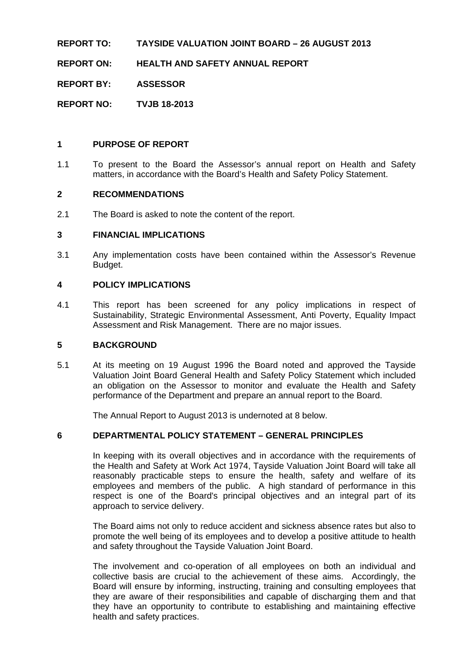#### **REPORT TO: TAYSIDE VALUATION JOINT BOARD – 26 AUGUST 2013**

**REPORT ON: HEALTH AND SAFETY ANNUAL REPORT** 

**REPORT BY: ASSESSOR** 

**REPORT NO: TVJB 18-2013** 

#### **1 PURPOSE OF REPORT**

1.1 To present to the Board the Assessor's annual report on Health and Safety matters, in accordance with the Board's Health and Safety Policy Statement.

#### **2 RECOMMENDATIONS**

2.1 The Board is asked to note the content of the report.

#### **3 FINANCIAL IMPLICATIONS**

3.1 Any implementation costs have been contained within the Assessor's Revenue Budget.

#### **4 POLICY IMPLICATIONS**

4.1 This report has been screened for any policy implications in respect of Sustainability, Strategic Environmental Assessment, Anti Poverty, Equality Impact Assessment and Risk Management. There are no major issues.

#### **5 BACKGROUND**

5.1 At its meeting on 19 August 1996 the Board noted and approved the Tayside Valuation Joint Board General Health and Safety Policy Statement which included an obligation on the Assessor to monitor and evaluate the Health and Safety performance of the Department and prepare an annual report to the Board.

The Annual Report to August 2013 is undernoted at 8 below.

#### **6 DEPARTMENTAL POLICY STATEMENT – GENERAL PRINCIPLES**

In keeping with its overall objectives and in accordance with the requirements of the Health and Safety at Work Act 1974, Tayside Valuation Joint Board will take all reasonably practicable steps to ensure the health, safety and welfare of its employees and members of the public. A high standard of performance in this respect is one of the Board's principal objectives and an integral part of its approach to service delivery.

The Board aims not only to reduce accident and sickness absence rates but also to promote the well being of its employees and to develop a positive attitude to health and safety throughout the Tayside Valuation Joint Board.

The involvement and co-operation of all employees on both an individual and collective basis are crucial to the achievement of these aims. Accordingly, the Board will ensure by informing, instructing, training and consulting employees that they are aware of their responsibilities and capable of discharging them and that they have an opportunity to contribute to establishing and maintaining effective health and safety practices.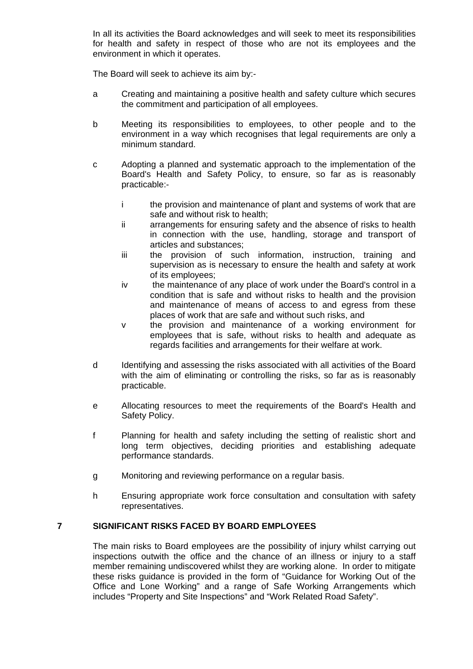In all its activities the Board acknowledges and will seek to meet its responsibilities for health and safety in respect of those who are not its employees and the environment in which it operates.

The Board will seek to achieve its aim by:-

- a Creating and maintaining a positive health and safety culture which secures the commitment and participation of all employees.
- b Meeting its responsibilities to employees, to other people and to the environment in a way which recognises that legal requirements are only a minimum standard.
- c Adopting a planned and systematic approach to the implementation of the Board's Health and Safety Policy, to ensure, so far as is reasonably practicable:
	- i the provision and maintenance of plant and systems of work that are safe and without risk to health;
	- ii arrangements for ensuring safety and the absence of risks to health in connection with the use, handling, storage and transport of articles and substances;
	- iii the provision of such information, instruction, training and supervision as is necessary to ensure the health and safety at work of its employees;
	- iv the maintenance of any place of work under the Board's control in a condition that is safe and without risks to health and the provision and maintenance of means of access to and egress from these places of work that are safe and without such risks, and
	- v the provision and maintenance of a working environment for employees that is safe, without risks to health and adequate as regards facilities and arrangements for their welfare at work.
- d Identifying and assessing the risks associated with all activities of the Board with the aim of eliminating or controlling the risks, so far as is reasonably practicable.
- e Allocating resources to meet the requirements of the Board's Health and Safety Policy.
- f Planning for health and safety including the setting of realistic short and long term objectives, deciding priorities and establishing adequate performance standards.
- g Monitoring and reviewing performance on a regular basis.
- h Ensuring appropriate work force consultation and consultation with safety representatives.

#### **7 SIGNIFICANT RISKS FACED BY BOARD EMPLOYEES**

The main risks to Board employees are the possibility of injury whilst carrying out inspections outwith the office and the chance of an illness or injury to a staff member remaining undiscovered whilst they are working alone. In order to mitigate these risks guidance is provided in the form of "Guidance for Working Out of the Office and Lone Working" and a range of Safe Working Arrangements which includes "Property and Site Inspections" and "Work Related Road Safety".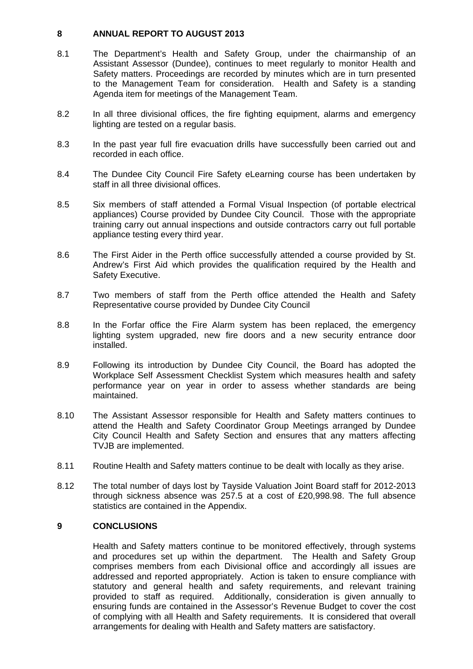#### **8 ANNUAL REPORT TO AUGUST 2013**

- 8.1 The Department's Health and Safety Group, under the chairmanship of an Assistant Assessor (Dundee), continues to meet regularly to monitor Health and Safety matters. Proceedings are recorded by minutes which are in turn presented to the Management Team for consideration. Health and Safety is a standing Agenda item for meetings of the Management Team.
- 8.2 In all three divisional offices, the fire fighting equipment, alarms and emergency lighting are tested on a regular basis.
- 8.3 In the past year full fire evacuation drills have successfully been carried out and recorded in each office.
- 8.4 The Dundee City Council Fire Safety eLearning course has been undertaken by staff in all three divisional offices.
- 8.5 Six members of staff attended a Formal Visual Inspection (of portable electrical appliances) Course provided by Dundee City Council. Those with the appropriate training carry out annual inspections and outside contractors carry out full portable appliance testing every third year.
- 8.6 The First Aider in the Perth office successfully attended a course provided by St. Andrew's First Aid which provides the qualification required by the Health and Safety Executive.
- 8.7 Two members of staff from the Perth office attended the Health and Safety Representative course provided by Dundee City Council
- 8.8 In the Forfar office the Fire Alarm system has been replaced, the emergency lighting system upgraded, new fire doors and a new security entrance door installed.
- 8.9 Following its introduction by Dundee City Council, the Board has adopted the Workplace Self Assessment Checklist System which measures health and safety performance year on year in order to assess whether standards are being maintained.
- 8.10 The Assistant Assessor responsible for Health and Safety matters continues to attend the Health and Safety Coordinator Group Meetings arranged by Dundee City Council Health and Safety Section and ensures that any matters affecting TVJB are implemented.
- 8.11 Routine Health and Safety matters continue to be dealt with locally as they arise.
- 8.12 The total number of days lost by Tayside Valuation Joint Board staff for 2012-2013 through sickness absence was 257.5 at a cost of £20,998.98. The full absence statistics are contained in the Appendix.

#### **9 CONCLUSIONS**

 Health and Safety matters continue to be monitored effectively, through systems and procedures set up within the department. The Health and Safety Group comprises members from each Divisional office and accordingly all issues are addressed and reported appropriately. Action is taken to ensure compliance with statutory and general health and safety requirements, and relevant training provided to staff as required. Additionally, consideration is given annually to ensuring funds are contained in the Assessor's Revenue Budget to cover the cost of complying with all Health and Safety requirements. It is considered that overall arrangements for dealing with Health and Safety matters are satisfactory.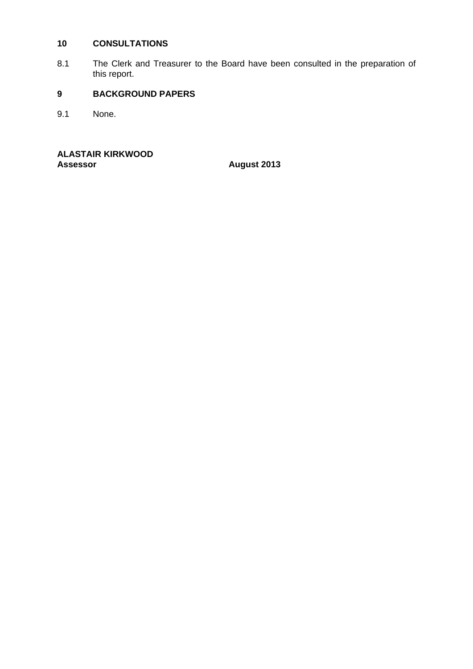#### **10 CONSULTATIONS**

8.1 The Clerk and Treasurer to the Board have been consulted in the preparation of this report.

### **9 BACKGROUND PAPERS**

9.1 None.

**ALASTAIR KIRKWOOD** 

**Assessor August 2013**